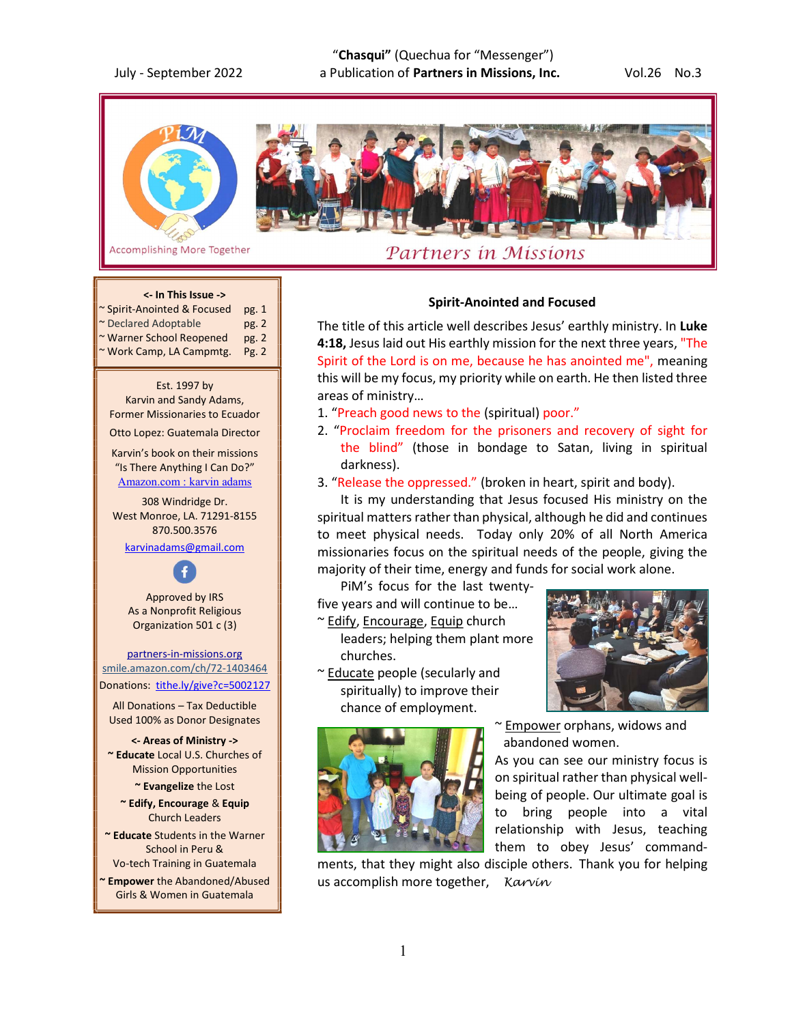"Chasqui" (Quechua for "Messenger") July - September 2022 a Publication of Partners in Missions, Inc. 6 Vol.26 No.3





**Accomplishing More Together** 

# Partners in Missions

# <- In This Issue -> ~ Spirit-Anointed & Focused pg. 1 \* Declared Adoptable pg. 2

- ~ Warner School Reopened pg. 2
- ~ Work Camp, LA Campmtg. Pg. 2

Est. 1997 by Karvin and Sandy Adams, Former Missionaries to Ecuador

Otto Lopez: Guatemala Director

Karvin's book on their missions "Is There Anything I Can Do?" Amazon.com : karvin adams

308 Windridge Dr. West Monroe, LA. 71291-8155 870.500.3576 karvinadams@gmail.com

Approved by IRS As a Nonprofit Religious Organization 501 c (3)

partners-in-missions.org smile.amazon.com/ch/72-1403464 Donations: tithe.ly/give?c=5002127

All Donations – Tax Deductible Used 100% as Donor Designates

<- Areas of Ministry -> ~ Educate Local U.S. Churches of Mission Opportunities

~ Evangelize the Lost

~ Edify, Encourage & Equip Church Leaders

~ Educate Students in the Warner School in Peru & Vo-tech Training in Guatemala

Empower the Abandoned/Abused Girls & Women in Guatemala

# Spirit-Anointed and Focused

The title of this article well describes Jesus' earthly ministry. In Luke 4:18, Jesus laid out His earthly mission for the next three years, "The Spirit of the Lord is on me, because he has anointed me", meaning this will be my focus, my priority while on earth. He then listed three areas of ministry…

- 1. "Preach good news to the (spiritual) poor."
- 2. "Proclaim freedom for the prisoners and recovery of sight for the blind" (those in bondage to Satan, living in spiritual darkness).
- 3. "Release the oppressed." (broken in heart, spirit and body).

It is my understanding that Jesus focused His ministry on the spiritual matters rather than physical, although he did and continues to meet physical needs. Today only 20% of all North America missionaries focus on the spiritual needs of the people, giving the majority of their time, energy and funds for social work alone.

PiM's focus for the last twenty-

five years and will continue to be… ~ Edify, Encourage, Equip church

 leaders; helping them plant more churches.

~ Educate people (secularly and spiritually) to improve their chance of employment.





~ Empower orphans, widows and abandoned women.

As you can see our ministry focus is on spiritual rather than physical wellbeing of people. Our ultimate goal is to bring people into a vital relationship with Jesus, teaching them to obey Jesus' command-

ments, that they might also disciple others. Thank you for helping us accomplish more together, Karvín